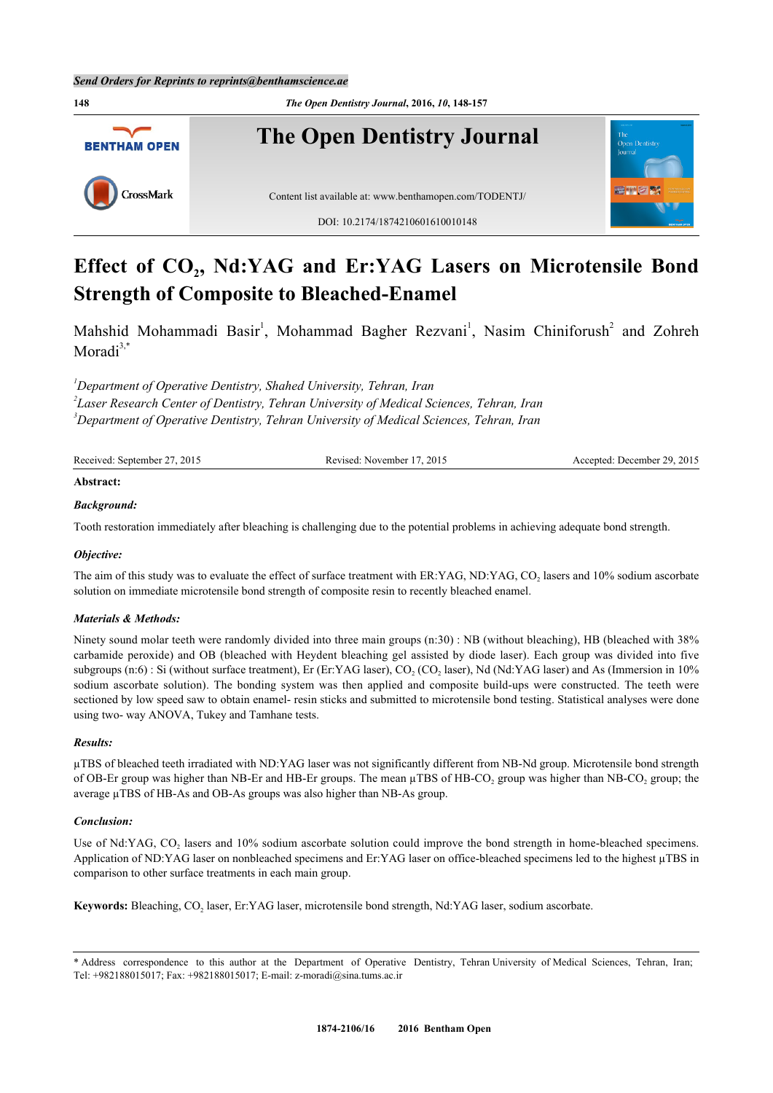

# **Effect of CO<sup>2</sup> , Nd:YAG and Er:YAG Lasers on Microtensile Bond Strength of Composite to Bleached-Enamel**

Mahshid Mohammadi Basir<sup>[1](#page-0-0)</sup>, Mohammad Bagher Rezvani<sup>1</sup>, Nasim Chiniforush<sup>[2](#page-0-1)</sup> and Zohreh Moradi $3$ ,[\\*](#page-0-3)

<span id="page-0-1"></span><span id="page-0-0"></span>*<sup>1</sup>Department of Operative Dentistry, Shahed University, Tehran, Iran*

*2 Laser Research Center of Dentistry, Tehran University of Medical Sciences, Tehran, Iran*

<span id="page-0-2"></span>*<sup>3</sup>Department of Operative Dentistry, Tehran University of Medical Sciences, Tehran, Iran*

| Received: September 27, 2015 | Revised: November 17, 2015 | Accepted: December 29, 2015 |
|------------------------------|----------------------------|-----------------------------|
|                              |                            |                             |

#### **Abstract:**

#### *Background:*

Tooth restoration immediately after bleaching is challenging due to the potential problems in achieving adequate bond strength.

### *Objective:*

The aim of this study was to evaluate the effect of surface treatment with ER:YAG, ND:YAG, CO<sub>2</sub> lasers and 10% sodium ascorbate solution on immediate microtensile bond strength of composite resin to recently bleached enamel.

### *Materials & Methods:*

Ninety sound molar teeth were randomly divided into three main groups (n:30) : NB (without bleaching), HB (bleached with 38% carbamide peroxide) and OB (bleached with Heydent bleaching gel assisted by diode laser). Each group was divided into five subgroups (n:6) : Si (without surface treatment), Er (Er:YAG laser),  $CO_2$  (CO<sub>2</sub> laser), Nd (Nd:YAG laser) and As (Immersion in 10% sodium ascorbate solution). The bonding system was then applied and composite build-ups were constructed. The teeth were sectioned by low speed saw to obtain enamel- resin sticks and submitted to microtensile bond testing. Statistical analyses were done using two- way ANOVA, Tukey and Tamhane tests.

#### *Results:*

µTBS of bleached teeth irradiated with ND:YAG laser was not significantly different from NB-Nd group. Microtensile bond strength of OB-Er group was higher than NB-Er and HB-Er groups. The mean  $\mu$ TBS of HB-CO<sub>2</sub> group was higher than NB-CO<sub>2</sub> group; the average µTBS of HB-As and OB-As groups was also higher than NB-As group.

#### *Conclusion:*

Use of Nd:YAG,  $CO<sub>2</sub>$  lasers and 10% sodium ascorbate solution could improve the bond strength in home-bleached specimens. Application of ND:YAG laser on nonbleached specimens and Er:YAG laser on office-bleached specimens led to the highest µTBS in comparison to other surface treatments in each main group.

Keywords: Bleaching, CO<sub>2</sub> laser, Er:YAG laser, microtensile bond strength, Nd:YAG laser, sodium ascorbate.

<span id="page-0-3"></span><sup>\*</sup> Address correspondence to this author at the Department of Operative Dentistry, Tehran University of Medical Sciences, Tehran, Iran; Tel: +982188015017; Fax: +982188015017; E-mail: [z-moradi@sina.tums.ac.ir](mailto:z-moradi@sina.tums.ac.ir)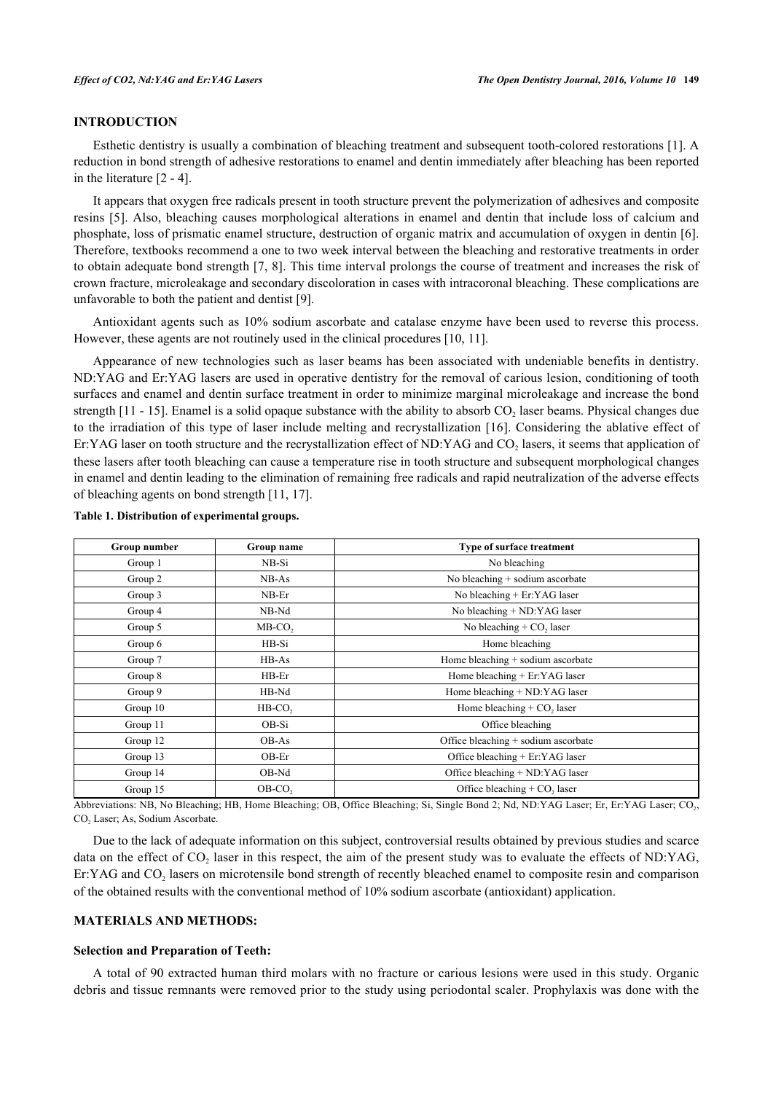# **INTRODUCTION**

Esthetic dentistry is usually a combination of bleaching treatment and subsequent tooth-colored restorations [[1\]](#page-7-0). A reduction in bond strength of adhesive restorations to enamel and dentin immediately after bleaching has been reported in the literature [[2](#page-7-1) - [4\]](#page-8-0).

It appears that oxygen free radicals present in tooth structure prevent the polymerization of adhesives and composite resins [[5\]](#page-8-1). Also, bleaching causes morphological alterations in enamel and dentin that include loss of calcium and phosphate, loss of prismatic enamel structure, destruction of organic matrix and accumulation of oxygen in dentin [[6\]](#page-8-2). Therefore, textbooks recommend a one to two week interval between the bleaching and restorative treatments in order to obtain adequate bond strength [[7](#page-8-3)[, 8](#page-8-4)]. This time interval prolongs the course of treatment and increases the risk of crown fracture, microleakage and secondary discoloration in cases with intracoronal bleaching. These complications are unfavorable to both the patient and dentist [\[9](#page-8-5)].

Antioxidant agents such as 10% sodium ascorbate and catalase enzyme have been used to reverse this process. However, these agents are not routinely used in the clinical procedures [[10,](#page-8-6) [11\]](#page-8-7).

Appearance of new technologies such as laser beams has been associated with undeniable benefits in dentistry. ND:YAG and Er:YAG lasers are used in operative dentistry for the removal of carious lesion, conditioning of tooth surfaces and enamel and dentin surface treatment in order to minimize marginal microleakage and increase the bond strength  $[11 - 15]$  $[11 - 15]$  $[11 - 15]$ . Enamel is a solid opaque substance with the ability to absorb  $CO_2$  laser beams. Physical changes due to the irradiation of this type of laser include melting and recrystallization [[16\]](#page-8-9). Considering the ablative effect of Er:YAG laser on tooth structure and the recrystallization effect of ND:YAG and  $CO_2$  lasers, it seems that application of these lasers after tooth bleaching can cause a temperature rise in tooth structure and subsequent morphological changes in enamel and dentin leading to the elimination of remaining free radicals and rapid neutralization of the adverse effects of bleaching agents on bond strength [\[11](#page-8-7), [17](#page-8-10)].

| Group number | Group name            | Type of surface treatment                  |  |
|--------------|-----------------------|--------------------------------------------|--|
| Group 1      | NB-Si                 | No bleaching                               |  |
| Group 2      | $NB-As$               | No bleaching + sodium ascorbate            |  |
| Group 3      | $NB-Er$               | No bleaching + Er:YAG laser                |  |
| Group 4      | NB-Nd                 | No bleaching + ND:YAG laser                |  |
| Group 5      | MB-CO <sub>2</sub>    | No bleaching $+$ CO <sub>2</sub> laser     |  |
| Group 6      | HB-Si                 | Home bleaching                             |  |
| Group 7      | $HB-As$               | Home bleaching + sodium ascorbate          |  |
| Group 8      | $HB-Er$               | Home bleaching + Er:YAG laser              |  |
| Group 9      | HB-Nd                 | Home bleaching + ND:YAG laser              |  |
| Group 10     | $HB$ -CO <sub>2</sub> | Home bleaching $+$ CO <sub>2</sub> laser   |  |
| Group 11     | OB-Si                 | Office bleaching                           |  |
| Group 12     | OB-As                 | Office bleaching + sodium ascorbate        |  |
| Group 13     | $OB-Er$               | Office bleaching + Er:YAG laser            |  |
| Group 14     | OB-Nd                 | Office bleaching + ND:YAG laser            |  |
| Group 15     | OB-CO <sub>2</sub>    | Office bleaching $+$ CO <sub>2</sub> laser |  |

<span id="page-1-0"></span>**Table 1. Distribution of experimental groups.**

Abbreviations: NB, No Bleaching; HB, Home Bleaching; OB, Office Bleaching; Si, Single Bond 2; Nd, ND:YAG Laser; Er, Er:YAG Laser; CO<sub>2</sub>, CO<sub>2</sub> Laser; As, Sodium Ascorbate.

Due to the lack of adequate information on this subject, controversial results obtained by previous studies and scarce data on the effect of  $CO_2$  laser in this respect, the aim of the present study was to evaluate the effects of ND:YAG, Er:YAG and CO<sub>2</sub> lasers on microtensile bond strength of recently bleached enamel to composite resin and comparison of the obtained results with the conventional method of 10% sodium ascorbate (antioxidant) application.

#### **MATERIALS AND METHODS:**

### **Selection and Preparation of Teeth:**

A total of 90 extracted human third molars with no fracture or carious lesions were used in this study. Organic debris and tissue remnants were removed prior to the study using periodontal scaler. Prophylaxis was done with the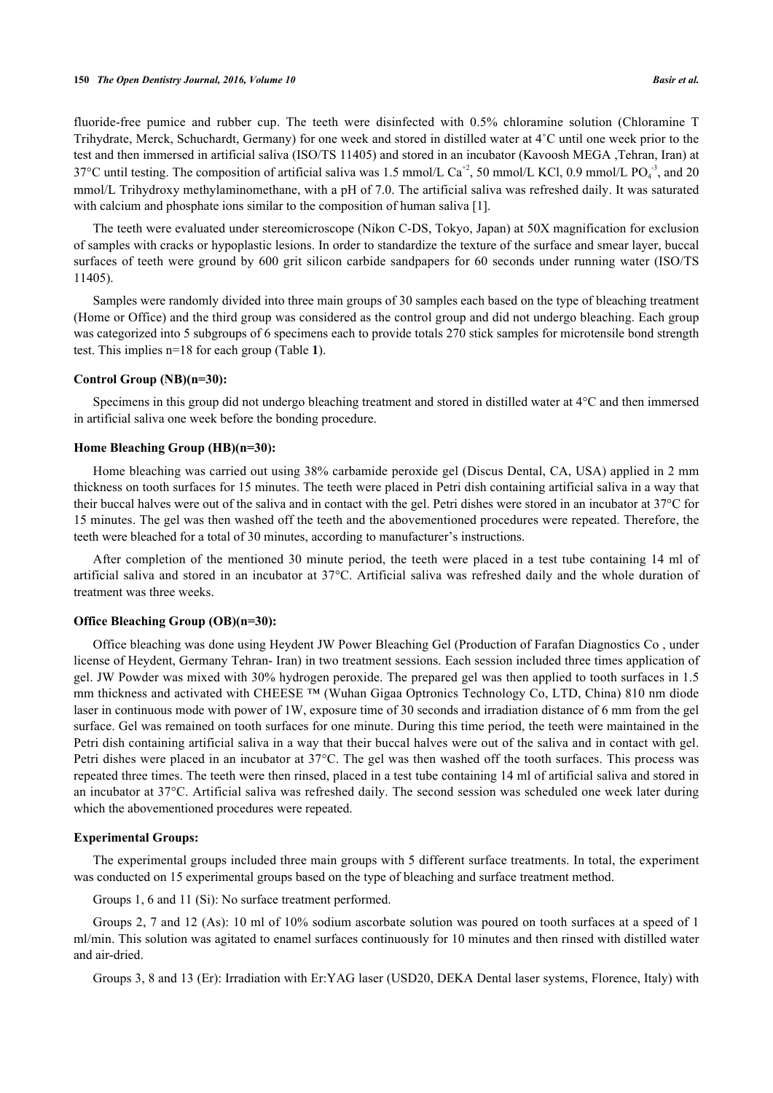fluoride-free pumice and rubber cup. The teeth were disinfected with 0.5% chloramine solution (Chloramine T Trihydrate, Merck, Schuchardt, Germany) for one week and stored in distilled water at 4˚C until one week prior to the test and then immersed in artificial saliva (ISO/TS 11405) and stored in an incubator (Kavoosh MEGA ,Tehran, Iran) at 37°C until testing. The composition of artificial saliva was 1.5 mmol/L  $Ca^{+2}$ , 50 mmol/L KCl, 0.9 mmol/L PO $_4^{\text{-3}}$ , and 20 mmol/L Trihydroxy methylaminomethane, with a pH of 7.0. The artificial saliva was refreshed daily. It was saturated with calcium and phosphate ions similar to the composition of human saliva [\[1](#page-7-0)].

The teeth were evaluated under stereomicroscope (Nikon C-DS, Tokyo, Japan) at 50X magnification for exclusion of samples with cracks or hypoplastic lesions. In order to standardize the texture of the surface and smear layer, buccal surfaces of teeth were ground by 600 grit silicon carbide sandpapers for 60 seconds under running water (ISO/TS 11405).

Samples were randomly divided into three main groups of 30 samples each based on the type of bleaching treatment (Home or Office) and the third group was considered as the control group and did not undergo bleaching. Each group was categorized into 5 subgroups of 6 specimens each to provide totals 270 stick samples for microtensile bond strength test. This implies n=18 for each group (Table **[1](#page-1-0)**).

#### **Control Group (NB)(n=30):**

Specimens in this group did not undergo bleaching treatment and stored in distilled water at 4°C and then immersed in artificial saliva one week before the bonding procedure.

# **Home Bleaching Group (HB)(n=30):**

Home bleaching was carried out using 38% carbamide peroxide gel (Discus Dental, CA, USA) applied in 2 mm thickness on tooth surfaces for 15 minutes. The teeth were placed in Petri dish containing artificial saliva in a way that their buccal halves were out of the saliva and in contact with the gel. Petri dishes were stored in an incubator at 37°C for 15 minutes. The gel was then washed off the teeth and the abovementioned procedures were repeated. Therefore, the teeth were bleached for a total of 30 minutes, according to manufacturer's instructions.

After completion of the mentioned 30 minute period, the teeth were placed in a test tube containing 14 ml of artificial saliva and stored in an incubator at 37°C. Artificial saliva was refreshed daily and the whole duration of treatment was three weeks.

#### **Office Bleaching Group (OB)(n=30):**

Office bleaching was done using Heydent JW Power Bleaching Gel (Production of Farafan Diagnostics Co , under license of Heydent, Germany Tehran- Iran) in two treatment sessions. Each session included three times application of gel. JW Powder was mixed with 30% hydrogen peroxide. The prepared gel was then applied to tooth surfaces in 1.5 mm thickness and activated with CHEESE ™ (Wuhan Gigaa Optronics Technology Co, LTD, China) 810 nm diode laser in continuous mode with power of 1W, exposure time of 30 seconds and irradiation distance of 6 mm from the gel surface. Gel was remained on tooth surfaces for one minute. During this time period, the teeth were maintained in the Petri dish containing artificial saliva in a way that their buccal halves were out of the saliva and in contact with gel. Petri dishes were placed in an incubator at 37°C. The gel was then washed off the tooth surfaces. This process was repeated three times. The teeth were then rinsed, placed in a test tube containing 14 ml of artificial saliva and stored in an incubator at 37°C. Artificial saliva was refreshed daily. The second session was scheduled one week later during which the abovementioned procedures were repeated.

#### **Experimental Groups:**

The experimental groups included three main groups with 5 different surface treatments. In total, the experiment was conducted on 15 experimental groups based on the type of bleaching and surface treatment method.

Groups 1, 6 and 11 (Si): No surface treatment performed.

Groups 2, 7 and 12 (As): 10 ml of 10% sodium ascorbate solution was poured on tooth surfaces at a speed of 1 ml/min. This solution was agitated to enamel surfaces continuously for 10 minutes and then rinsed with distilled water and air-dried.

Groups 3, 8 and 13 (Er): Irradiation with Er:YAG laser (USD20, DEKA Dental laser systems, Florence, Italy) with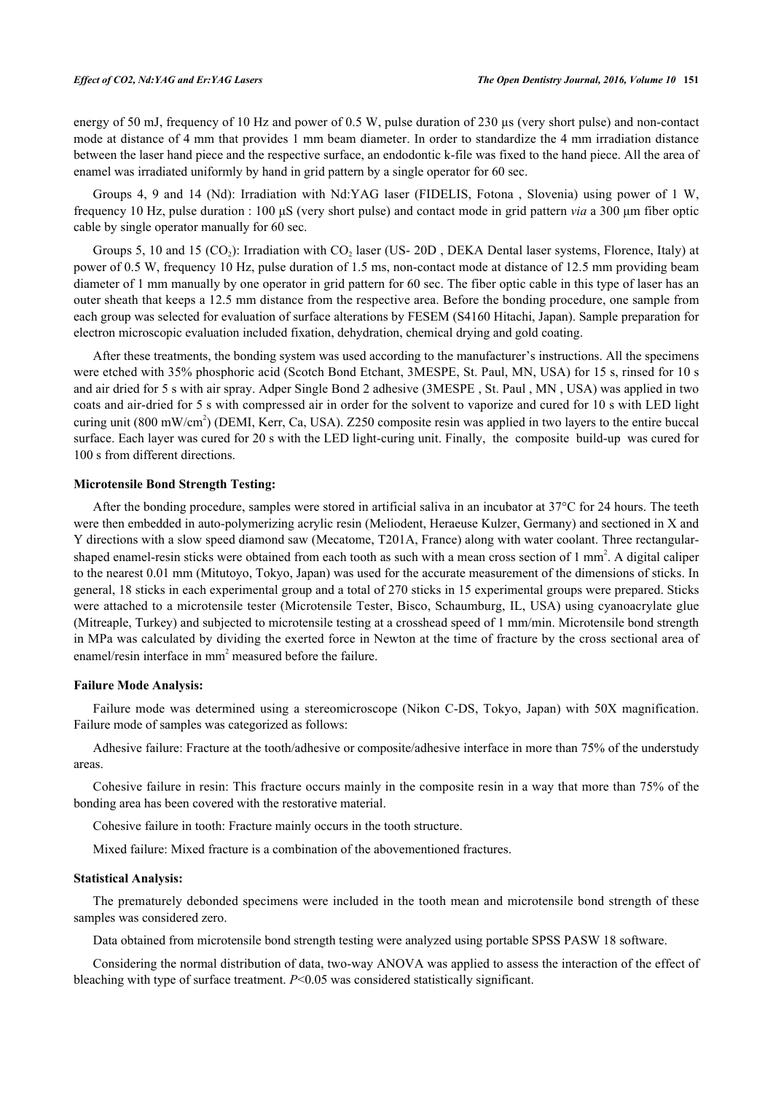energy of 50 mJ, frequency of 10 Hz and power of 0.5 W, pulse duration of 230  $\mu$ s (very short pulse) and non-contact mode at distance of 4 mm that provides 1 mm beam diameter. In order to standardize the 4 mm irradiation distance between the laser hand piece and the respective surface, an endodontic k-file was fixed to the hand piece. All the area of enamel was irradiated uniformly by hand in grid pattern by a single operator for 60 sec.

Groups 4, 9 and 14 (Nd): Irradiation with Nd:YAG laser (FIDELIS, Fotona , Slovenia) using power of 1 W, frequency 10 Hz, pulse duration : 100 μS (very short pulse) and contact mode in grid pattern *via* a 300 μm fiber optic cable by single operator manually for 60 sec.

Groups 5, 10 and 15  $(CO_2)$ : Irradiation with  $CO_2$  laser (US-20D), DEKA Dental laser systems, Florence, Italy) at power of 0.5 W, frequency 10 Hz, pulse duration of 1.5 ms, non-contact mode at distance of 12.5 mm providing beam diameter of 1 mm manually by one operator in grid pattern for 60 sec. The fiber optic cable in this type of laser has an outer sheath that keeps a 12.5 mm distance from the respective area. Before the bonding procedure, one sample from each group was selected for evaluation of surface alterations by FESEM (S4160 Hitachi, Japan). Sample preparation for electron microscopic evaluation included fixation, dehydration, chemical drying and gold coating.

After these treatments, the bonding system was used according to the manufacturer's instructions. All the specimens were etched with 35% phosphoric acid (Scotch Bond Etchant, 3MESPE, St. Paul, MN, USA) for 15 s, rinsed for 10 s and air dried for 5 s with air spray. Adper Single Bond 2 adhesive (3MESPE , St. Paul , MN , USA) was applied in two coats and air-dried for 5 s with compressed air in order for the solvent to vaporize and cured for 10 s with LED light curing unit (800 mW/cm<sup>2</sup>) (DEMI, Kerr, Ca, USA). Z250 composite resin was applied in two layers to the entire buccal surface. Each layer was cured for 20 s with the LED light-curing unit. Finally, the composite build-up was cured for 100 s from different directions.

#### **Microtensile Bond Strength Testing:**

After the bonding procedure, samples were stored in artificial saliva in an incubator at 37°C for 24 hours. The teeth were then embedded in auto-polymerizing acrylic resin (Meliodent, Heraeuse Kulzer, Germany) and sectioned in X and Y directions with a slow speed diamond saw (Mecatome, T201A, France) along with water coolant. Three rectangularshaped enamel-resin sticks were obtained from each tooth as such with a mean cross section of  $1 \text{ mm}^2$ . A digital caliper to the nearest 0.01 mm (Mitutoyo, Tokyo, Japan) was used for the accurate measurement of the dimensions of sticks. In general, 18 sticks in each experimental group and a total of 270 sticks in 15 experimental groups were prepared. Sticks were attached to a microtensile tester (Microtensile Tester, Bisco, Schaumburg, IL, USA) using cyanoacrylate glue (Mitreaple, Turkey) and subjected to microtensile testing at a crosshead speed of 1 mm/min. Microtensile bond strength in MPa was calculated by dividing the exerted force in Newton at the time of fracture by the cross sectional area of enamel/resin interface in mm<sup>2</sup> measured before the failure.

#### **Failure Mode Analysis:**

Failure mode was determined using a stereomicroscope (Nikon C-DS, Tokyo, Japan) with 50X magnification. Failure mode of samples was categorized as follows:

Adhesive failure: Fracture at the tooth/adhesive or composite/adhesive interface in more than 75% of the understudy areas.

Cohesive failure in resin: This fracture occurs mainly in the composite resin in a way that more than 75% of the bonding area has been covered with the restorative material.

Cohesive failure in tooth: Fracture mainly occurs in the tooth structure.

Mixed failure: Mixed fracture is a combination of the abovementioned fractures.

#### **Statistical Analysis:**

The prematurely debonded specimens were included in the tooth mean and microtensile bond strength of these samples was considered zero.

Data obtained from microtensile bond strength testing were analyzed using portable SPSS PASW 18 software.

Considering the normal distribution of data, two-way ANOVA was applied to assess the interaction of the effect of bleaching with type of surface treatment. *P*<0.05 was considered statistically significant.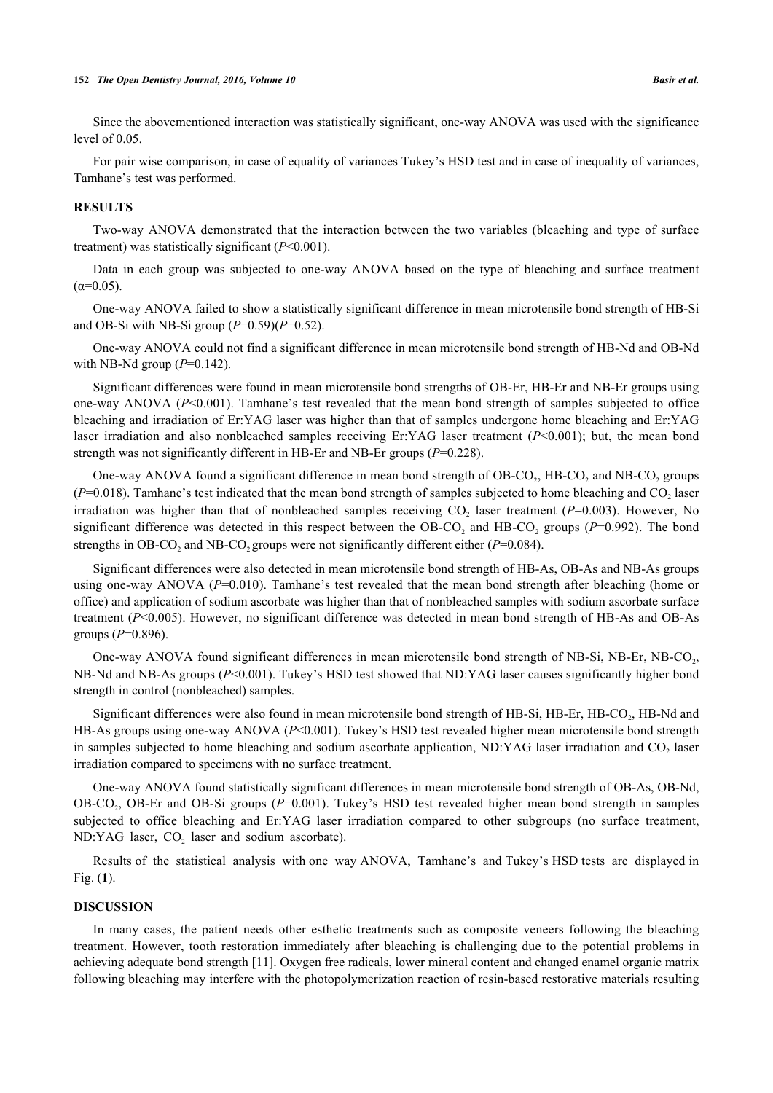Since the abovementioned interaction was statistically significant, one-way ANOVA was used with the significance level of 0.05.

For pair wise comparison, in case of equality of variances Tukey's HSD test and in case of inequality of variances, Tamhane's test was performed.

#### **RESULTS**

Two-way ANOVA demonstrated that the interaction between the two variables (bleaching and type of surface treatment) was statistically significant (*P*<0.001).

Data in each group was subjected to one-way ANOVA based on the type of bleaching and surface treatment  $(α=0.05)$ .

One-way ANOVA failed to show a statistically significant difference in mean microtensile bond strength of HB-Si and OB-Si with NB-Si group (*P*=0.59)(*P*=0.52).

One-way ANOVA could not find a significant difference in mean microtensile bond strength of HB-Nd and OB-Nd with NB-Nd group (*P*=0.142).

Significant differences were found in mean microtensile bond strengths of OB-Er, HB-Er and NB-Er groups using one-way ANOVA (*P*<0.001). Tamhane's test revealed that the mean bond strength of samples subjected to office bleaching and irradiation of Er:YAG laser was higher than that of samples undergone home bleaching and Er:YAG laser irradiation and also nonbleached samples receiving Er:YAG laser treatment (*P*<0.001); but, the mean bond strength was not significantly different in HB-Er and NB-Er groups (*P*=0.228).

One-way ANOVA found a significant difference in mean bond strength of OB-CO<sub>2</sub>, HB-CO<sub>2</sub> and NB-CO<sub>2</sub> groups  $(P=0.018)$ . Tamhane's test indicated that the mean bond strength of samples subjected to home bleaching and  $CO<sub>2</sub>$  laser irradiation was higher than that of nonbleached samples receiving  $CO<sub>2</sub>$  laser treatment ( $P=0.003$ ). However, No significant difference was detected in this respect between the  $OB$ - $CO_2$  and  $HB$ - $CO_2$  groups ( $P$ =0.992). The bond strengths in OB-CO<sub>2</sub> and NB-CO<sub>2</sub> groups were not significantly different either ( $P=0.084$ ).

Significant differences were also detected in mean microtensile bond strength of HB-As, OB-As and NB-As groups using one-way ANOVA (*P*=0.010). Tamhane's test revealed that the mean bond strength after bleaching (home or office) and application of sodium ascorbate was higher than that of nonbleached samples with sodium ascorbate surface treatment (*P*<0.005). However, no significant difference was detected in mean bond strength of HB-As and OB-As groups (*P*=0.896).

One-way ANOVA found significant differences in mean microtensile bond strength of NB-Si, NB-Er, NB-CO<sub>2</sub>, NB-Nd and NB-As groups (*P*<0.001). Tukey's HSD test showed that ND:YAG laser causes significantly higher bond strength in control (nonbleached) samples.

Significant differences were also found in mean microtensile bond strength of HB-Si, HB-Er, HB-CO<sub>2</sub>, HB-Nd and HB-As groups using one-way ANOVA (*P*<0.001). Tukey's HSD test revealed higher mean microtensile bond strength in samples subjected to home bleaching and sodium ascorbate application, ND:YAG laser irradiation and  $CO<sub>2</sub>$  laser irradiation compared to specimens with no surface treatment.

One-way ANOVA found statistically significant differences in mean microtensile bond strength of OB-As, OB-Nd, OB-CO<sub>2</sub>, OB-Er and OB-Si groups (P=0.001). Tukey's HSD test revealed higher mean bond strength in samples subjected to office bleaching and Er:YAG laser irradiation compared to other subgroups (no surface treatment,  $ND:YAG$  laser,  $CO<sub>2</sub>$  laser and sodium ascorbate).

Results of the statistical analysis with one way ANOVA, Tamhane's and Tukey's HSD tests are displayed in Fig. (**[1](#page-5-0)**).

#### **DISCUSSION**

In many cases, the patient needs other esthetic treatments such as composite veneers following the bleaching treatment. However, tooth restoration immediately after bleaching is challenging due to the potential problems in achieving adequate bond strength [\[11](#page-8-7)]. Oxygen free radicals, lower mineral content and changed enamel organic matrix following bleaching may interfere with the photopolymerization reaction of resin-based restorative materials resulting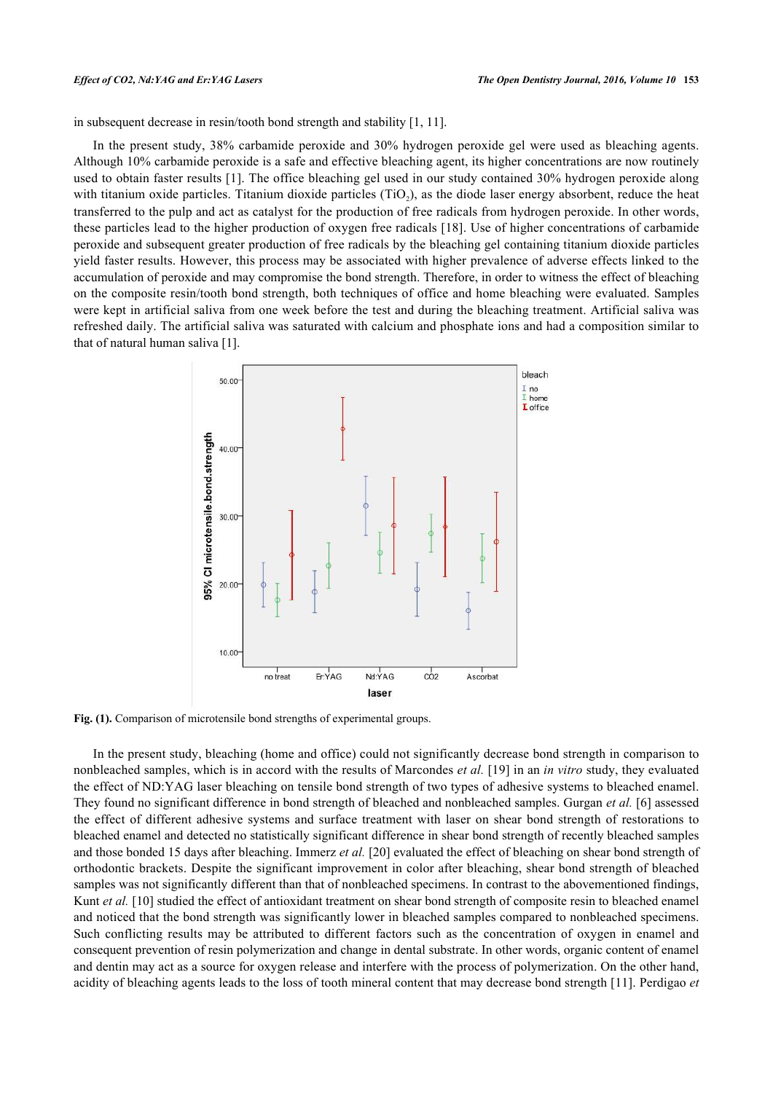in subsequent decrease in resin/tooth bond strength and stability [[1,](#page-7-0) [11\]](#page-8-7).

In the present study, 38% carbamide peroxide and 30% hydrogen peroxide gel were used as bleaching agents. Although 10% carbamide peroxide is a safe and effective bleaching agent, its higher concentrations are now routinely used to obtain faster results [\[1\]](#page-7-0). The office bleaching gel used in our study contained 30% hydrogen peroxide along with titanium oxide particles. Titanium dioxide particles (TiO<sub>2</sub>), as the diode laser energy absorbent, reduce the heat transferred to the pulp and act as catalyst for the production of free radicals from hydrogen peroxide. In other words, these particles lead to the higher production of oxygen free radicals [\[18](#page-8-11)]. Use of higher concentrations of carbamide peroxide and subsequent greater production of free radicals by the bleaching gel containing titanium dioxide particles yield faster results. However, this process may be associated with higher prevalence of adverse effects linked to the accumulation of peroxide and may compromise the bond strength. Therefore, in order to witness the effect of bleaching on the composite resin/tooth bond strength, both techniques of office and home bleaching were evaluated. Samples were kept in artificial saliva from one week before the test and during the bleaching treatment. Artificial saliva was refreshed daily. The artificial saliva was saturated with calcium and phosphate ions and had a composition similar to that of natural human saliva [\[1](#page-7-0)].

<span id="page-5-0"></span>

Fig. (1). Comparison of microtensile bond strengths of experimental groups.

In the present study, bleaching (home and office) could not significantly decrease bond strength in comparison to nonbleached samples, which is in accord with the results of Marcondes *et al.* [\[19](#page-8-12)] in an *in vitro* study, they evaluated the effect of ND:YAG laser bleaching on tensile bond strength of two types of adhesive systems to bleached enamel. They found no significant difference in bond strength of bleached and nonbleached samples. Gurgan *et al.* [\[6](#page-8-2)] assessed the effect of different adhesive systems and surface treatment with laser on shear bond strength of restorations to bleached enamel and detected no statistically significant difference in shear bond strength of recently bleached samples and those bonded 15 days after bleaching. Immerz *et al.* [\[20](#page-8-13)] evaluated the effect of bleaching on shear bond strength of orthodontic brackets. Despite the significant improvement in color after bleaching, shear bond strength of bleached samples was not significantly different than that of nonbleached specimens. In contrast to the abovementioned findings, Kunt *et al.* [\[10](#page-8-6)] studied the effect of antioxidant treatment on shear bond strength of composite resin to bleached enamel and noticed that the bond strength was significantly lower in bleached samples compared to nonbleached specimens. Such conflicting results may be attributed to different factors such as the concentration of oxygen in enamel and consequent prevention of resin polymerization and change in dental substrate. In other words, organic content of enamel and dentin may act as a source for oxygen release and interfere with the process of polymerization. On the other hand, acidity of bleaching agents leads to the loss of tooth mineral content that may decrease bond strength [[11](#page-8-7)]. Perdigao *et*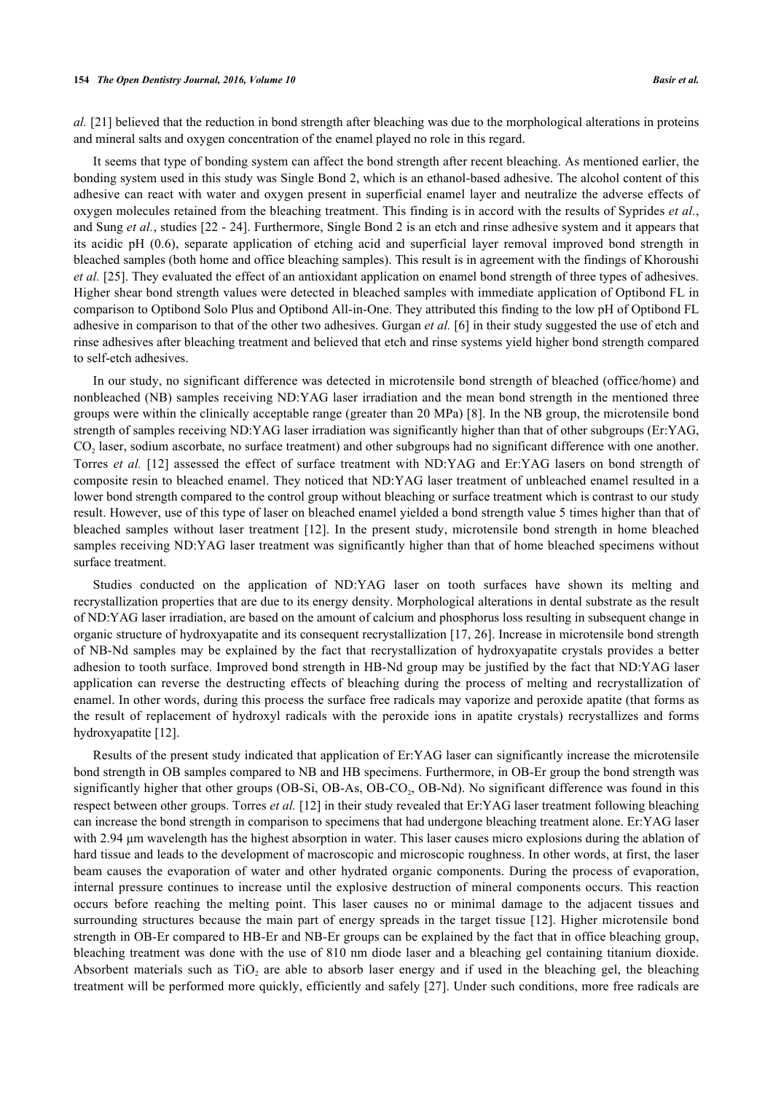*al.* [[21](#page-8-14)] believed that the reduction in bond strength after bleaching was due to the morphological alterations in proteins and mineral salts and oxygen concentration of the enamel played no role in this regard.

It seems that type of bonding system can affect the bond strength after recent bleaching. As mentioned earlier, the bonding system used in this study was Single Bond 2, which is an ethanol-based adhesive. The alcohol content of this adhesive can react with water and oxygen present in superficial enamel layer and neutralize the adverse effects of oxygen molecules retained from the bleaching treatment. This finding is in accord with the results of Syprides *et al.*, and Sung *et al.*, studies [[22](#page-8-15) - [24](#page-9-0)]. Furthermore, Single Bond 2 is an etch and rinse adhesive system and it appears that its acidic pH (0.6), separate application of etching acid and superficial layer removal improved bond strength in bleached samples (both home and office bleaching samples). This result is in agreement with the findings of Khoroushi *et al.* [[25](#page-9-1)]. They evaluated the effect of an antioxidant application on enamel bond strength of three types of adhesives. Higher shear bond strength values were detected in bleached samples with immediate application of Optibond FL in comparison to Optibond Solo Plus and Optibond All-in-One. They attributed this finding to the low pH of Optibond FL adhesive in comparison to that of the other two adhesives. Gurgan *et al.* [\[6](#page-8-2)] in their study suggested the use of etch and rinse adhesives after bleaching treatment and believed that etch and rinse systems yield higher bond strength compared to self-etch adhesives.

In our study, no significant difference was detected in microtensile bond strength of bleached (office/home) and nonbleached (NB) samples receiving ND:YAG laser irradiation and the mean bond strength in the mentioned three groups were within the clinically acceptable range (greater than 20 MPa) [[8](#page-8-4)]. In the NB group, the microtensile bond strength of samples receiving ND:YAG laser irradiation was significantly higher than that of other subgroups (Er:YAG, CO<sup>2</sup> laser, sodium ascorbate, no surface treatment) and other subgroups had no significant difference with one another. Torres *et al.* [[12\]](#page-8-16) assessed the effect of surface treatment with ND:YAG and Er:YAG lasers on bond strength of composite resin to bleached enamel. They noticed that ND:YAG laser treatment of unbleached enamel resulted in a lower bond strength compared to the control group without bleaching or surface treatment which is contrast to our study result. However, use of this type of laser on bleached enamel yielded a bond strength value 5 times higher than that of bleached samples without laser treatment [[12](#page-8-16)]. In the present study, microtensile bond strength in home bleached samples receiving ND:YAG laser treatment was significantly higher than that of home bleached specimens without surface treatment.

Studies conducted on the application of ND:YAG laser on tooth surfaces have shown its melting and recrystallization properties that are due to its energy density. Morphological alterations in dental substrate as the result of ND:YAG laser irradiation, are based on the amount of calcium and phosphorus loss resulting in subsequent change in organic structure of hydroxyapatite and its consequent recrystallization [\[17](#page-8-10), [26\]](#page-9-2). Increase in microtensile bond strength of NB-Nd samples may be explained by the fact that recrystallization of hydroxyapatite crystals provides a better adhesion to tooth surface. Improved bond strength in HB-Nd group may be justified by the fact that ND:YAG laser application can reverse the destructing effects of bleaching during the process of melting and recrystallization of enamel. In other words, during this process the surface free radicals may vaporize and peroxide apatite (that forms as the result of replacement of hydroxyl radicals with the peroxide ions in apatite crystals) recrystallizes and forms hydroxyapatite [[12\]](#page-8-16).

Results of the present study indicated that application of Er:YAG laser can significantly increase the microtensile bond strength in OB samples compared to NB and HB specimens. Furthermore, in OB-Er group the bond strength was significantly higher that other groups (OB-Si, OB-As, OB-CO<sub>2</sub>, OB-Nd). No significant difference was found in this respect between other groups. Torres *et al.* [[12\]](#page-8-16) in their study revealed that Er:YAG laser treatment following bleaching can increase the bond strength in comparison to specimens that had undergone bleaching treatment alone. Er:YAG laser with 2.94 μm wavelength has the highest absorption in water. This laser causes micro explosions during the ablation of hard tissue and leads to the development of macroscopic and microscopic roughness. In other words, at first, the laser beam causes the evaporation of water and other hydrated organic components. During the process of evaporation, internal pressure continues to increase until the explosive destruction of mineral components occurs. This reaction occurs before reaching the melting point. This laser causes no or minimal damage to the adjacent tissues and surrounding structures because the main part of energy spreads in the target tissue [\[12](#page-8-16)]. Higher microtensile bond strength in OB-Er compared to HB-Er and NB-Er groups can be explained by the fact that in office bleaching group, bleaching treatment was done with the use of 810 nm diode laser and a bleaching gel containing titanium dioxide. Absorbent materials such as  $TiO<sub>2</sub>$  are able to absorb laser energy and if used in the bleaching gel, the bleaching treatment will be performed more quickly, efficiently and safely [\[27](#page-9-3)]. Under such conditions, more free radicals are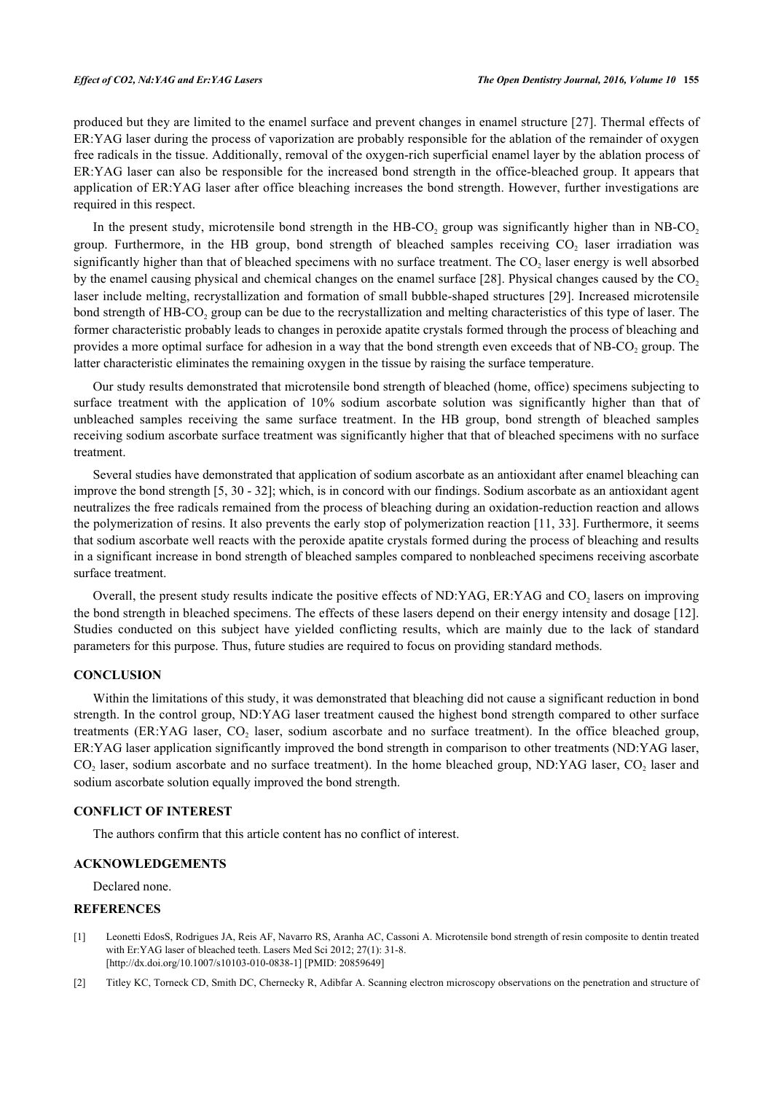produced but they are limited to the enamel surface and prevent changes in enamel structure [[27\]](#page-9-3). Thermal effects of ER:YAG laser during the process of vaporization are probably responsible for the ablation of the remainder of oxygen free radicals in the tissue. Additionally, removal of the oxygen-rich superficial enamel layer by the ablation process of ER:YAG laser can also be responsible for the increased bond strength in the office-bleached group. It appears that application of ER:YAG laser after office bleaching increases the bond strength. However, further investigations are required in this respect.

In the present study, microtensile bond strength in the  $H B-CO<sub>2</sub>$  group was significantly higher than in NB-CO<sub>2</sub> group. Furthermore, in the HB group, bond strength of bleached samples receiving  $CO<sub>2</sub>$  laser irradiation was significantly higher than that of bleached specimens with no surface treatment. The  $CO_2$  laser energy is well absorbed by the enamel causing physical and chemical changes on the enamel surface  $[28]$  $[28]$  $[28]$ . Physical changes caused by the  $CO<sub>2</sub>$ laser include melting, recrystallization and formation of small bubble-shaped structures [\[29\]](#page-9-5). Increased microtensile bond strength of HB-CO<sub>2</sub> group can be due to the recrystallization and melting characteristics of this type of laser. The former characteristic probably leads to changes in peroxide apatite crystals formed through the process of bleaching and provides a more optimal surface for adhesion in a way that the bond strength even exceeds that of NB-CO<sub>2</sub> group. The latter characteristic eliminates the remaining oxygen in the tissue by raising the surface temperature.

Our study results demonstrated that microtensile bond strength of bleached (home, office) specimens subjecting to surface treatment with the application of 10% sodium ascorbate solution was significantly higher than that of unbleached samples receiving the same surface treatment. In the HB group, bond strength of bleached samples receiving sodium ascorbate surface treatment was significantly higher that that of bleached specimens with no surface treatment.

Several studies have demonstrated that application of sodium ascorbate as an antioxidant after enamel bleaching can improve the bond strength [[5](#page-8-1)[, 30](#page-9-6) - [32](#page-9-7)]; which, is in concord with our findings. Sodium ascorbate as an antioxidant agent neutralizes the free radicals remained from the process of bleaching during an oxidation-reduction reaction and allows the polymerization of resins. It also prevents the early stop of polymerization reaction [[11,](#page-8-7) [33](#page-9-8)]. Furthermore, it seems that sodium ascorbate well reacts with the peroxide apatite crystals formed during the process of bleaching and results in a significant increase in bond strength of bleached samples compared to nonbleached specimens receiving ascorbate surface treatment.

Overall, the present study results indicate the positive effects of ND:YAG, ER:YAG and  $CO<sub>2</sub>$  lasers on improving the bond strength in bleached specimens. The effects of these lasers depend on their energy intensity and dosage [[12\]](#page-8-16). Studies conducted on this subject have yielded conflicting results, which are mainly due to the lack of standard parameters for this purpose. Thus, future studies are required to focus on providing standard methods.

### **CONCLUSION**

Within the limitations of this study, it was demonstrated that bleaching did not cause a significant reduction in bond strength. In the control group, ND:YAG laser treatment caused the highest bond strength compared to other surface treatments (ER:YAG laser,  $CO_2$  laser, sodium ascorbate and no surface treatment). In the office bleached group, ER:YAG laser application significantly improved the bond strength in comparison to other treatments (ND:YAG laser,  $CO_2$  laser, sodium ascorbate and no surface treatment). In the home bleached group, ND:YAG laser,  $CO_2$  laser and sodium ascorbate solution equally improved the bond strength.

#### **CONFLICT OF INTEREST**

The authors confirm that this article content has no conflict of interest.

# **ACKNOWLEDGEMENTS**

Declared none.

# **REFERENCES**

- <span id="page-7-0"></span>[1] Leonetti EdosS, Rodrigues JA, Reis AF, Navarro RS, Aranha AC, Cassoni A. Microtensile bond strength of resin composite to dentin treated with Er:YAG laser of bleached teeth. Lasers Med Sci 2012; 27(1): 31-8. [\[http://dx.doi.org/10.1007/s10103-010-0838-1\]](http://dx.doi.org/10.1007/s10103-010-0838-1) [PMID: [20859649](http://www.ncbi.nlm.nih.gov/pubmed/20859649)]
- <span id="page-7-1"></span>[2] Titley KC, Torneck CD, Smith DC, Chernecky R, Adibfar A. Scanning electron microscopy observations on the penetration and structure of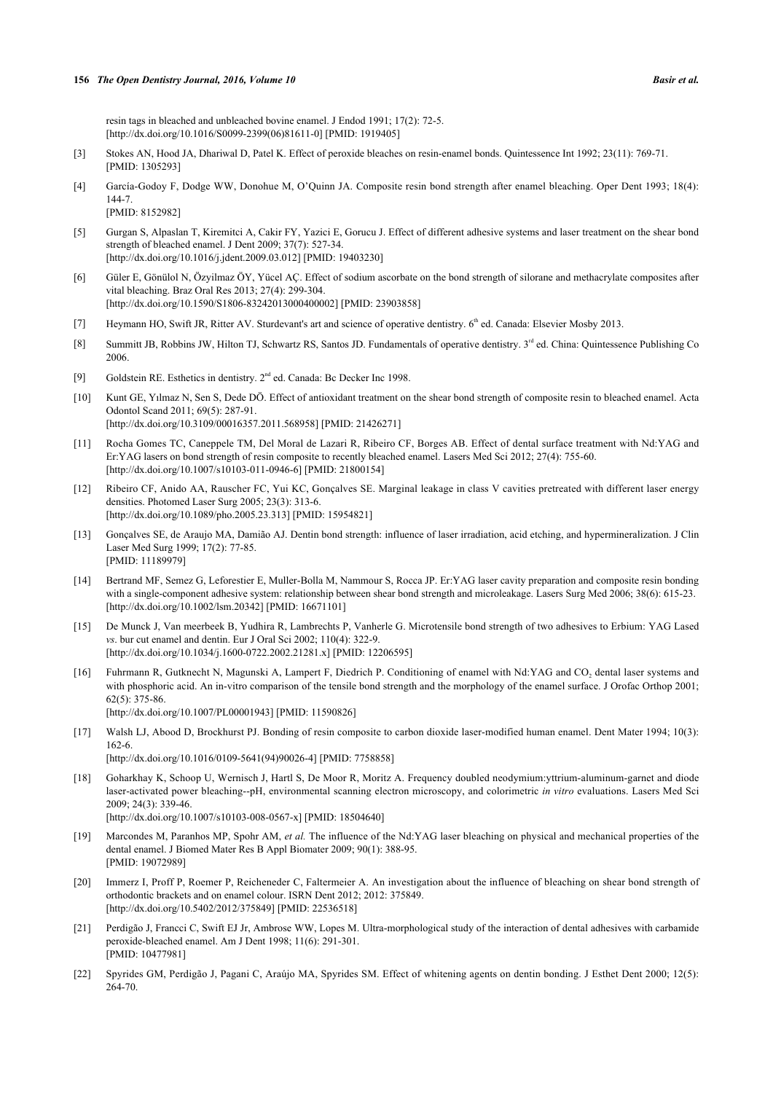resin tags in bleached and unbleached bovine enamel. J Endod 1991; 17(2): 72-5. [\[http://dx.doi.org/10.1016/S0099-2399\(06\)81611-0\]](http://dx.doi.org/10.1016/S0099-2399(06)81611-0) [PMID: [1919405](http://www.ncbi.nlm.nih.gov/pubmed/1919405)]

- [3] Stokes AN, Hood JA, Dhariwal D, Patel K. Effect of peroxide bleaches on resin-enamel bonds. Quintessence Int 1992; 23(11): 769-71. [PMID: [1305293\]](http://www.ncbi.nlm.nih.gov/pubmed/1305293)
- <span id="page-8-0"></span>[4] García-Godoy F, Dodge WW, Donohue M, O'Quinn JA. Composite resin bond strength after enamel bleaching. Oper Dent 1993; 18(4): 144-7. [PMID: [8152982\]](http://www.ncbi.nlm.nih.gov/pubmed/8152982)
- <span id="page-8-1"></span>[5] Gurgan S, Alpaslan T, Kiremitci A, Cakir FY, Yazici E, Gorucu J. Effect of different adhesive systems and laser treatment on the shear bond strength of bleached enamel. J Dent 2009; 37(7): 527-34. [\[http://dx.doi.org/10.1016/j.jdent.2009.03.012](http://dx.doi.org/10.1016/j.jdent.2009.03.012)] [PMID: [19403230\]](http://www.ncbi.nlm.nih.gov/pubmed/19403230)
- <span id="page-8-2"></span>[6] Güler E, Gönülol N, Özyilmaz ÖY, Yücel AÇ. Effect of sodium ascorbate on the bond strength of silorane and methacrylate composites after vital bleaching. Braz Oral Res 2013; 27(4): 299-304. [\[http://dx.doi.org/10.1590/S1806-83242013000400002\]](http://dx.doi.org/10.1590/S1806-83242013000400002) [PMID: [23903858](http://www.ncbi.nlm.nih.gov/pubmed/23903858)]
- <span id="page-8-3"></span>[7] Heymann HO, Swift JR, Ritter AV. Sturdevant's art and science of operative dentistry. 6<sup>th</sup> ed. Canada: Elsevier Mosby 2013.
- <span id="page-8-4"></span>[8] Summitt JB, Robbins JW, Hilton TJ, Schwartz RS, Santos JD. Fundamentals of operative dentistry. 3<sup>rd</sup> ed. China: Quintessence Publishing Co 2006.
- <span id="page-8-5"></span>[9] Goldstein RE. Esthetics in dentistry. 2<sup>nd</sup> ed. Canada: Bc Decker Inc 1998.
- <span id="page-8-6"></span>[10] Kunt GE, Yılmaz N, Sen S, Dede DÖ. Effect of antioxidant treatment on the shear bond strength of composite resin to bleached enamel. Acta Odontol Scand 2011; 69(5): 287-91. [\[http://dx.doi.org/10.3109/00016357.2011.568958\]](http://dx.doi.org/10.3109/00016357.2011.568958) [PMID: [21426271](http://www.ncbi.nlm.nih.gov/pubmed/21426271)]
- <span id="page-8-7"></span>[11] Rocha Gomes TC, Caneppele TM, Del Moral de Lazari R, Ribeiro CF, Borges AB. Effect of dental surface treatment with Nd:YAG and Er:YAG lasers on bond strength of resin composite to recently bleached enamel. Lasers Med Sci 2012; 27(4): 755-60. [\[http://dx.doi.org/10.1007/s10103-011-0946-6\]](http://dx.doi.org/10.1007/s10103-011-0946-6) [PMID: [21800154](http://www.ncbi.nlm.nih.gov/pubmed/21800154)]
- <span id="page-8-16"></span>[12] Ribeiro CF, Anido AA, Rauscher FC, Yui KC, Gonçalves SE. Marginal leakage in class V cavities pretreated with different laser energy densities. Photomed Laser Surg 2005; 23(3): 313-6. [\[http://dx.doi.org/10.1089/pho.2005.23.313\]](http://dx.doi.org/10.1089/pho.2005.23.313) [PMID: [15954821](http://www.ncbi.nlm.nih.gov/pubmed/15954821)]
- [13] Gonçalves SE, de Araujo MA, Damião AJ. Dentin bond strength: influence of laser irradiation, acid etching, and hypermineralization. J Clin Laser Med Surg 1999; 17(2): 77-85. [PMID: [11189979\]](http://www.ncbi.nlm.nih.gov/pubmed/11189979)
- [14] Bertrand MF, Semez G, Leforestier E, Muller-Bolla M, Nammour S, Rocca JP. Er:YAG laser cavity preparation and composite resin bonding with a single-component adhesive system: relationship between shear bond strength and microleakage. Lasers Surg Med 2006; 38(6): 615-23. [\[http://dx.doi.org/10.1002/lsm.20342](http://dx.doi.org/10.1002/lsm.20342)] [PMID: [16671101\]](http://www.ncbi.nlm.nih.gov/pubmed/16671101)
- <span id="page-8-8"></span>[15] De Munck J, Van meerbeek B, Yudhira R, Lambrechts P, Vanherle G. Microtensile bond strength of two adhesives to Erbium: YAG Lased *vs*. bur cut enamel and dentin. Eur J Oral Sci 2002; 110(4): 322-9. [\[http://dx.doi.org/10.1034/j.1600-0722.2002.21281.x\]](http://dx.doi.org/10.1034/j.1600-0722.2002.21281.x) [PMID: [12206595](http://www.ncbi.nlm.nih.gov/pubmed/12206595)]
- <span id="page-8-9"></span>[16] Fuhrmann R, Gutknecht N, Magunski A, Lampert F, Diedrich P. Conditioning of enamel with Nd:YAG and CO<sub>2</sub> dental laser systems and with phosphoric acid. An in-vitro comparison of the tensile bond strength and the morphology of the enamel surface. J Orofac Orthop 2001; 62(5): 375-86.

[\[http://dx.doi.org/10.1007/PL00001943](http://dx.doi.org/10.1007/PL00001943)] [PMID: [11590826\]](http://www.ncbi.nlm.nih.gov/pubmed/11590826)

- <span id="page-8-10"></span>[17] Walsh LJ, Abood D, Brockhurst PJ. Bonding of resin composite to carbon dioxide laser-modified human enamel. Dent Mater 1994; 10(3): 162-6. [\[http://dx.doi.org/10.1016/0109-5641\(94\)90026-4](http://dx.doi.org/10.1016/0109-5641(94)90026-4)] [PMID: [7758858](http://www.ncbi.nlm.nih.gov/pubmed/7758858)]
- <span id="page-8-11"></span>[18] Goharkhay K, Schoop U, Wernisch J, Hartl S, De Moor R, Moritz A. Frequency doubled neodymium:yttrium-aluminum-garnet and diode laser-activated power bleaching--pH, environmental scanning electron microscopy, and colorimetric *in vitro* evaluations. Lasers Med Sci 2009; 24(3): 339-46.

[\[http://dx.doi.org/10.1007/s10103-008-0567-x\]](http://dx.doi.org/10.1007/s10103-008-0567-x) [PMID: [18504640](http://www.ncbi.nlm.nih.gov/pubmed/18504640)]

- <span id="page-8-12"></span>[19] Marcondes M, Paranhos MP, Spohr AM, *et al.* The influence of the Nd:YAG laser bleaching on physical and mechanical properties of the dental enamel. J Biomed Mater Res B Appl Biomater 2009; 90(1): 388-95. [PMID: [19072989\]](http://www.ncbi.nlm.nih.gov/pubmed/19072989)
- <span id="page-8-13"></span>[20] Immerz I, Proff P, Roemer P, Reicheneder C, Faltermeier A. An investigation about the influence of bleaching on shear bond strength of orthodontic brackets and on enamel colour. ISRN Dent 2012; 2012: 375849. [\[http://dx.doi.org/10.5402/2012/375849](http://dx.doi.org/10.5402/2012/375849)] [PMID: [22536518\]](http://www.ncbi.nlm.nih.gov/pubmed/22536518)
- <span id="page-8-14"></span>[21] Perdigão J, Francci C, Swift EJ Jr, Ambrose WW, Lopes M. Ultra-morphological study of the interaction of dental adhesives with carbamide peroxide-bleached enamel. Am J Dent 1998; 11(6): 291-301. [PMID: [10477981\]](http://www.ncbi.nlm.nih.gov/pubmed/10477981)
- <span id="page-8-15"></span>[22] Spyrides GM, Perdigão J, Pagani C, Araújo MA, Spyrides SM. Effect of whitening agents on dentin bonding. J Esthet Dent 2000; 12(5): 264-70.